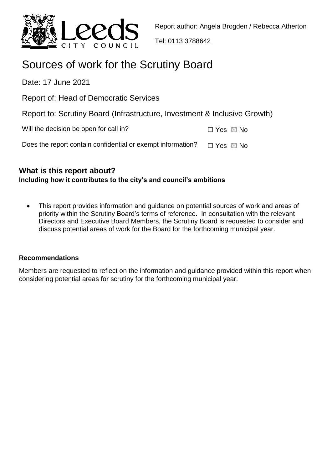

Tel: 0113 3788642

# Sources of work for the Scrutiny Board

Date: 17 June 2021

Report of: Head of Democratic Services

|  |  | Report to: Scrutiny Board (Infrastructure, Investment & Inclusive Growth) |  |  |  |
|--|--|---------------------------------------------------------------------------|--|--|--|
|  |  |                                                                           |  |  |  |

Will the decision be open for call in?  $□$  Yes  $□$  No

Does the report contain confidential or exempt information?  $□$  Yes  $□$  No

## **What is this report about? Including how it contributes to the city's and council's ambitions**

 This report provides information and guidance on potential sources of work and areas of priority within the Scrutiny Board's terms of reference. In consultation with the relevant Directors and Executive Board Members, the Scrutiny Board is requested to consider and discuss potential areas of work for the Board for the forthcoming municipal year.

## **Recommendations**

Members are requested to reflect on the information and guidance provided within this report when considering potential areas for scrutiny for the forthcoming municipal year.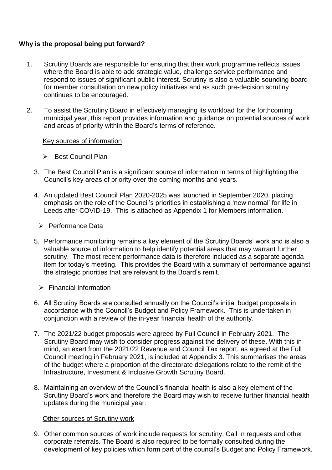## **Why is the proposal being put forward?**

- 1. Scrutiny Boards are responsible for ensuring that their work programme reflects issues where the Board is able to add strategic value, challenge service performance and respond to issues of significant public interest. Scrutiny is also a valuable sounding board for member consultation on new policy initiatives and as such pre-decision scrutiny continues to be encouraged.
- 2. To assist the Scrutiny Board in effectively managing its workload for the forthcoming municipal year, this report provides information and guidance on potential sources of work and areas of priority within the Board's terms of reference.

#### Key sources of information

- $\triangleright$  Best Council Plan
- 3. The Best Council Plan is a significant source of information in terms of highlighting the Council's key areas of priority over the coming months and years.
- 4. An updated Best Council Plan 2020-2025 was launched in September 2020, placing emphasis on the role of the Council's priorities in establishing a 'new normal' for life in Leeds after COVID-19. This is attached as Appendix 1 for Members information.
	- Performance Data
- 5. Performance monitoring remains a key element of the Scrutiny Boards' work and is also a valuable source of information to help identify potential areas that may warrant further scrutiny. The most recent performance data is therefore included as a separate agenda item for today's meeting. This provides the Board with a summary of performance against the strategic priorities that are relevant to the Board's remit.
	- $\triangleright$  Financial Information
- 6. All Scrutiny Boards are consulted annually on the Council's initial budget proposals in accordance with the Council's Budget and Policy Framework. This is undertaken in conjunction with a review of the in-year financial health of the authority.
- 7. The 2021/22 budget proposals were agreed by Full Council in February 2021. The Scrutiny Board may wish to consider progress against the delivery of these. With this in mind, an exert from the 2021/22 Revenue and Council Tax report, as agreed at the Full Council meeting in February 2021, is included at Appendix 3. This summarises the areas of the budget where a proportion of the directorate delegations relate to the remit of the Infrastructure, Investment & Inclusive Growth Scrutiny Board.
- 8. Maintaining an overview of the Council's financial health is also a key element of the Scrutiny Board's work and therefore the Board may wish to receive further financial health updates during the municipal year.

## Other sources of Scrutiny work

9. Other common sources of work include requests for scrutiny, Call In requests and other corporate referrals. The Board is also required to be formally consulted during the development of key policies which form part of the council's Budget and Policy Framework.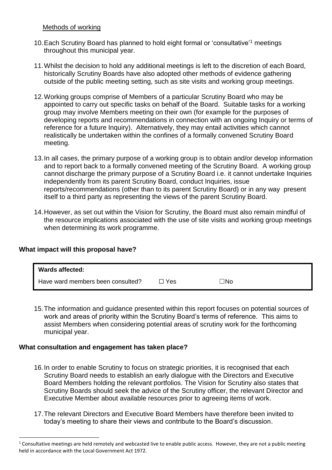#### Methods of working

- 10.Each Scrutiny Board has planned to hold eight formal or 'consultative'<sup>1</sup> meetings throughout this municipal year.
- 11.Whilst the decision to hold any additional meetings is left to the discretion of each Board, historically Scrutiny Boards have also adopted other methods of evidence gathering outside of the public meeting setting, such as site visits and working group meetings.
- 12.Working groups comprise of Members of a particular Scrutiny Board who may be appointed to carry out specific tasks on behalf of the Board. Suitable tasks for a working group may involve Members meeting on their own (for example for the purposes of developing reports and recommendations in connection with an ongoing Inquiry or terms of reference for a future Inquiry). Alternatively, they may entail activities which cannot realistically be undertaken within the confines of a formally convened Scrutiny Board meeting.
- 13.In all cases, the primary purpose of a working group is to obtain and/or develop information and to report back to a formally convened meeting of the Scrutiny Board. A working group cannot discharge the primary purpose of a Scrutiny Board i.e. it cannot undertake Inquiries independently from its parent Scrutiny Board, conduct Inquiries, issue reports/recommendations (other than to its parent Scrutiny Board) or in any way present itself to a third party as representing the views of the parent Scrutiny Board.
- 14.However, as set out within the Vision for Scrutiny, the Board must also remain mindful of the resource implications associated with the use of site visits and working group meetings when determining its work programme.

#### **What impact will this proposal have?**

 $\overline{a}$ 

| Wards affected:                   |       |           |
|-----------------------------------|-------|-----------|
| Have ward members been consulted? | ∃ Yes | $\Box$ No |

15.The information and guidance presented within this report focuses on potential sources of work and areas of priority within the Scrutiny Board's terms of reference. This aims to assist Members when considering potential areas of scrutiny work for the forthcoming municipal year.

#### **What consultation and engagement has taken place?**

- 16.In order to enable Scrutiny to focus on strategic priorities, it is recognised that each Scrutiny Board needs to establish an early dialogue with the Directors and Executive Board Members holding the relevant portfolios. The Vision for Scrutiny also states that Scrutiny Boards should seek the advice of the Scrutiny officer, the relevant Director and Executive Member about available resources prior to agreeing items of work.
- 17.The relevant Directors and Executive Board Members have therefore been invited to today's meeting to share their views and contribute to the Board's discussion.

 $1$  Consultative meetings are held remotely and webcasted live to enable public access. However, they are not a public meeting held in accordance with the Local Government Act 1972.